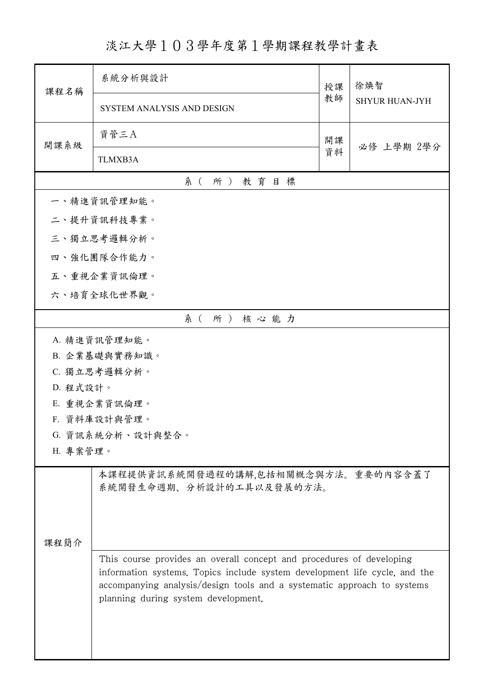淡江大學103學年度第1學期課程教學計畫表

| 課程名稱     | 系統分析與設計                                                                                                                                                                                                                                                              | 授課 | 徐焕智<br><b>SHYUR HUAN-JYH</b> |  |  |
|----------|----------------------------------------------------------------------------------------------------------------------------------------------------------------------------------------------------------------------------------------------------------------------|----|------------------------------|--|--|
|          | <b>SYSTEM ANALYSIS AND DESIGN</b>                                                                                                                                                                                                                                    | 教師 |                              |  |  |
| 開課系級     | 資管三A                                                                                                                                                                                                                                                                 | 開課 | 必修 上學期 2學分                   |  |  |
|          | TLMXB3A                                                                                                                                                                                                                                                              | 資料 |                              |  |  |
|          | 系(所)教育目標                                                                                                                                                                                                                                                             |    |                              |  |  |
|          | 一、精進資訊管理知能。                                                                                                                                                                                                                                                          |    |                              |  |  |
|          | 二、提升資訊科技專業。                                                                                                                                                                                                                                                          |    |                              |  |  |
|          | 三、獨立思考邏輯分析。                                                                                                                                                                                                                                                          |    |                              |  |  |
|          | 四、強化團隊合作能力。                                                                                                                                                                                                                                                          |    |                              |  |  |
|          | 五、重視企業資訊倫理。                                                                                                                                                                                                                                                          |    |                              |  |  |
|          | 六、培育全球化世界觀。                                                                                                                                                                                                                                                          |    |                              |  |  |
|          | 系(所)核心能力                                                                                                                                                                                                                                                             |    |                              |  |  |
|          | A. 精進資訊管理知能。                                                                                                                                                                                                                                                         |    |                              |  |  |
|          | B. 企業基礎與實務知識。                                                                                                                                                                                                                                                        |    |                              |  |  |
|          | C. 獨立思考邏輯分析。                                                                                                                                                                                                                                                         |    |                              |  |  |
|          | D. 程式設計。                                                                                                                                                                                                                                                             |    |                              |  |  |
|          | E. 重視企業資訊倫理。                                                                                                                                                                                                                                                         |    |                              |  |  |
|          | F. 資料庫設計與管理。                                                                                                                                                                                                                                                         |    |                              |  |  |
| H. 專案管理。 | G. 資訊系統分析、設計與整合。                                                                                                                                                                                                                                                     |    |                              |  |  |
|          |                                                                                                                                                                                                                                                                      |    |                              |  |  |
|          | 本課程提供資訊系統開發過程的講解,包括相關概念與方法。重要的內容含蓋了<br>系統開發生命週期、分析設計的工具以及發展的方法。                                                                                                                                                                                                      |    |                              |  |  |
| 课程简介     |                                                                                                                                                                                                                                                                      |    |                              |  |  |
|          | This course provides an overall concept and procedures of developing<br>information systems. Topics include system development life cycle, and the<br>accompanying analysis/design tools and a systematic approach to systems<br>planning during system development. |    |                              |  |  |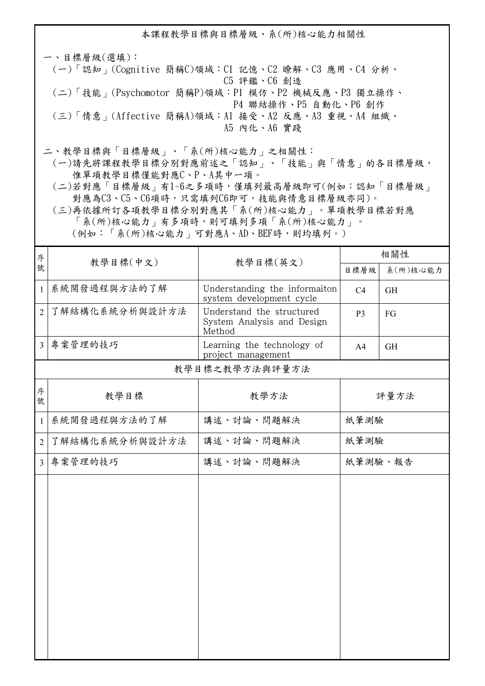本課程教學目標與目標層級、系(所)核心能力相關性 一、目標層級(選填): (一)「認知」(Cognitive 簡稱C)領域:C1 記憶、C2 瞭解、C3 應用、C4 分析、 C5 評鑑、C6 創造 (二)「技能」(Psychomotor 簡稱P)領域:P1 模仿、P2 機械反應、P3 獨立操作、 P4 聯結操作、P5 自動化、P6 創作 (三)「情意」(Affective 簡稱A)領域:A1 接受、A2 反應、A3 重視、A4 組織、 A5 內化、A6 實踐

二、教學目標與「目標層級」、「系(所)核心能力」之相關性:

 (一)請先將課程教學目標分別對應前述之「認知」、「技能」與「情意」的各目標層級, 惟單項教學目標僅能對應C、P、A其中一項。

 (二)若對應「目標層級」有1~6之多項時,僅填列最高層級即可(例如:認知「目標層級」 對應為C3、C5、C6項時,只需填列C6即可,技能與情意目標層級亦同)。

 (三)再依據所訂各項教學目標分別對應其「系(所)核心能力」。單項教學目標若對應 「系(所)核心能力」有多項時,則可填列多項「系(所)核心能力」。

(例如:「系(所)核心能力」可對應A、AD、BEF時,則均填列。)

| 序              | 教學目標(中文)       | 教學目標(英文)                                                          | 相關性            |           |
|----------------|----------------|-------------------------------------------------------------------|----------------|-----------|
| 號              |                |                                                                   | 目標層級           | 系(所)核心能力  |
| $\mathbf{1}$   | 系統開發過程與方法的了解   | Understanding the informaiton<br>system development cycle         | C <sub>4</sub> | <b>GH</b> |
| $\overline{2}$ | 了解結構化系統分析與設計方法 | Understand the structured<br>System Analysis and Design<br>Method | P <sub>3</sub> | FG        |
| $\overline{3}$ | 專案管理的技巧        | Learning the technology of<br>project management                  | A4             | <b>GH</b> |
|                |                | 教學目標之教學方法與評量方法                                                    |                |           |
| 序<br>號         | 教學目標           | 教學方法                                                              | 評量方法           |           |
| $\mathbf{1}$   | 系統開發過程與方法的了解   | 講述、討論、問題解決                                                        | 紙筆測驗           |           |
| $\overline{2}$ | 了解結構化系統分析與設計方法 | 講述、討論、問題解決                                                        | 紙筆測驗           |           |
| $\overline{3}$ | 專案管理的技巧        | 講述、討論、問題解決                                                        | 紙筆測驗、報告        |           |
|                |                |                                                                   |                |           |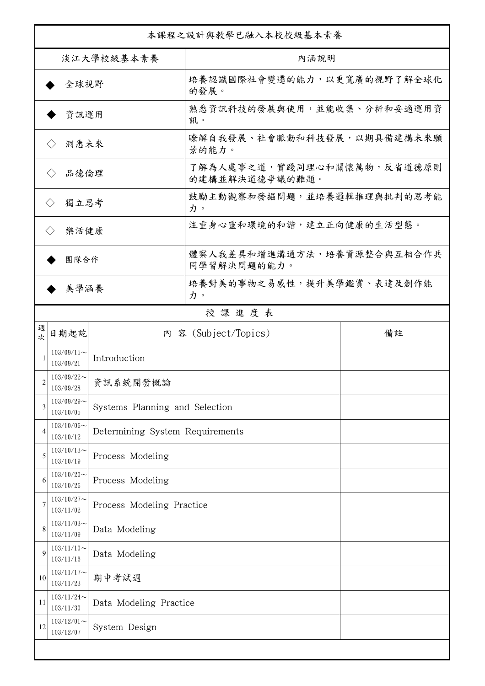| 本課程之設計與教學已融入本校校級基本素養        |                               |                                 |                                              |    |  |
|-----------------------------|-------------------------------|---------------------------------|----------------------------------------------|----|--|
| 淡江大學校級基本素養                  |                               |                                 | 內涵說明                                         |    |  |
| 全球視野                        |                               |                                 | 培養認識國際社會變遷的能力,以更寬廣的視野了解全球化<br>的發展。           |    |  |
| 資訊運用                        |                               |                                 | 熟悉資訊科技的發展與使用,並能收集、分析和妥適運用資<br>訊。             |    |  |
| 洞悉未來<br>$\langle \ \rangle$ |                               |                                 | 瞭解自我發展、社會脈動和科技發展,以期具備建構未來願<br>景的能力。          |    |  |
| 品德倫理<br>$\langle \ \rangle$ |                               |                                 | 了解為人處事之道,實踐同理心和關懷萬物,反省道德原則<br>的建構並解決道德爭議的難題。 |    |  |
| 獨立思考<br>$\langle \rangle$   |                               |                                 | 鼓勵主動觀察和發掘問題,並培養邏輯推理與批判的思考能<br>力。             |    |  |
| 樂活健康<br>$\langle \rangle$   |                               |                                 | 注重身心靈和環境的和諧,建立正向健康的生活型態。                     |    |  |
| 團隊合作                        |                               |                                 | 體察人我差異和增進溝通方法,培養資源整合與互相合作共<br>同學習解決問題的能力。    |    |  |
| 美學涵養                        |                               |                                 | 培養對美的事物之易感性,提升美學鑑賞、表達及創作能<br>力。              |    |  |
|                             |                               |                                 | 授課進度表                                        |    |  |
| 週<br>欤                      | 日期起訖                          |                                 | 內 容 (Subject/Topics)                         | 備註 |  |
| 1                           | $103/09/15$ ~<br>103/09/21    | Introduction                    |                                              |    |  |
| 2                           | $103/09/22$ ~<br>103/09/28    | 資訊系統開發概論                        |                                              |    |  |
| 3                           | $103/09/29$ ~<br>103/10/05    | Systems Planning and Selection  |                                              |    |  |
| $\overline{4}$              | $103/10/06 \sim$<br>103/10/12 | Determining System Requirements |                                              |    |  |
| 5                           | $103/10/13$ ~<br>103/10/19    | Process Modeling                |                                              |    |  |
| 6                           | $103/10/20$ ~<br>103/10/26    | Process Modeling                |                                              |    |  |
| 7                           | $103/10/27$ ~<br>103/11/02    | Process Modeling Practice       |                                              |    |  |
| 8                           | $103/11/03$ ~<br>103/11/09    | Data Modeling                   |                                              |    |  |
| 9                           | $103/11/10$ ~<br>103/11/16    | Data Modeling                   |                                              |    |  |
| 10                          | $103/11/17$ ~<br>103/11/23    | 期中考試週                           |                                              |    |  |
| 11                          | $103/11/24$ ~<br>103/11/30    | Data Modeling Practice          |                                              |    |  |
| 12                          | $103/12/01$ ~<br>103/12/07    | System Design                   |                                              |    |  |
|                             |                               |                                 |                                              |    |  |